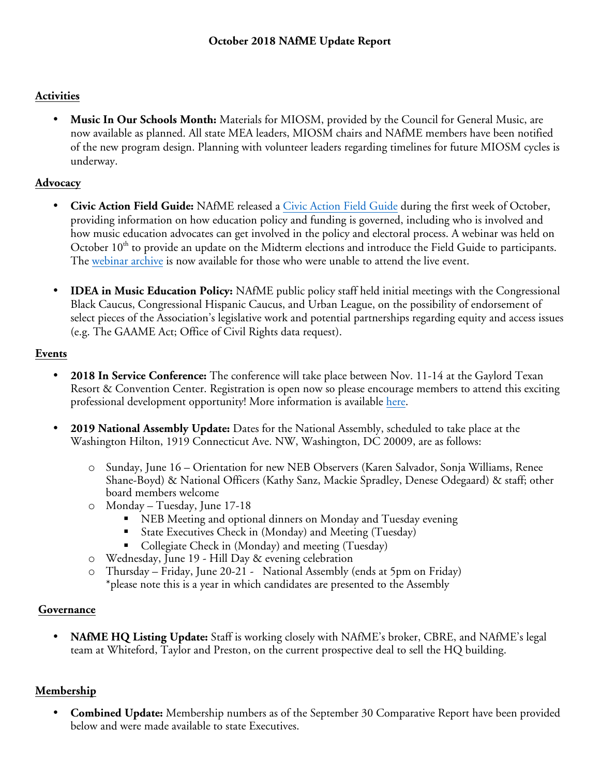### **Activities**

• **Music In Our Schools Month:** Materials for MIOSM, provided by the Council for General Music, are now available as planned. All state MEA leaders, MIOSM chairs and NAfME members have been notified of the new program design. Planning with volunteer leaders regarding timelines for future MIOSM cycles is underway.

### **Advocacy**

- **Civic Action Field Guide:** NAfME released a Civic Action Field Guide during the first week of October, providing information on how education policy and funding is governed, including who is involved and how music education advocates can get involved in the policy and electoral process. A webinar was held on October  $10<sup>th</sup>$  to provide an update on the Midterm elections and introduce the Field Guide to participants. The webinar archive is now available for those who were unable to attend the live event.
- **IDEA in Music Education Policy:** NAfME public policy staff held initial meetings with the Congressional Black Caucus, Congressional Hispanic Caucus, and Urban League, on the possibility of endorsement of select pieces of the Association's legislative work and potential partnerships regarding equity and access issues (e.g. The GAAME Act; Office of Civil Rights data request).

### **Events**

- **2018 In Service Conference:** The conference will take place between Nov. 11-14 at the Gaylord Texan Resort & Convention Center. Registration is open now so please encourage members to attend this exciting professional development opportunity! More information is available here.
- **2019 National Assembly Update:** Dates for the National Assembly, scheduled to take place at the Washington Hilton, 1919 Connecticut Ave. NW, Washington, DC 20009, are as follows:
	- o Sunday, June 16 Orientation for new NEB Observers (Karen Salvador, Sonja Williams, Renee Shane-Boyd) & National Officers (Kathy Sanz, Mackie Spradley, Denese Odegaard) & staff; other board members welcome
	- o Monday Tuesday, June 17-18
		- ! NEB Meeting and optional dinners on Monday and Tuesday evening
		- State Executives Check in (Monday) and Meeting (Tuesday)
		- ! Collegiate Check in (Monday) and meeting (Tuesday)
	- o Wednesday, June 19 Hill Day & evening celebration
	- o Thursday Friday, June 20-21 National Assembly (ends at 5pm on Friday) \*please note this is a year in which candidates are presented to the Assembly

# **Governance**

• **NAfME HQ Listing Update:** Staff is working closely with NAfME's broker, CBRE, and NAfME's legal team at Whiteford, Taylor and Preston, on the current prospective deal to sell the HQ building.

# **Membership**

• **Combined Update:** Membership numbers as of the September 30 Comparative Report have been provided below and were made available to state Executives.